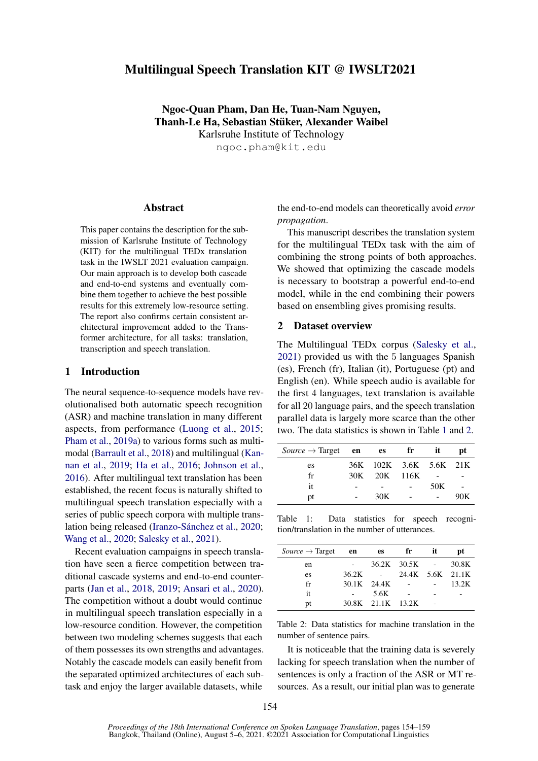# Multilingual Speech Translation KIT @ IWSLT2021

Ngoc-Quan Pham, Dan He, Tuan-Nam Nguyen, Thanh-Le Ha, Sebastian Stüker, Alexander Waibel Karlsruhe Institute of Technology ngoc.pham@kit.edu

#### Abstract

This paper contains the description for the submission of Karlsruhe Institute of Technology (KIT) for the multilingual TEDx translation task in the IWSLT 2021 evaluation campaign. Our main approach is to develop both cascade and end-to-end systems and eventually combine them together to achieve the best possible results for this extremely low-resource setting. The report also confirms certain consistent architectural improvement added to the Transformer architecture, for all tasks: translation, transcription and speech translation.

## 1 Introduction

The neural sequence-to-sequence models have revolutionalised both automatic speech recognition (ASR) and machine translation in many different aspects, from performance [\(Luong et al.,](#page-5-0) [2015;](#page-5-0) [Pham et al.,](#page-5-1) [2019a\)](#page-5-1) to various forms such as multimodal [\(Barrault et al.,](#page-4-0) [2018\)](#page-4-0) and multilingual [\(Kan](#page-5-2)[nan et al.,](#page-5-2) [2019;](#page-5-2) [Ha et al.,](#page-4-1) [2016;](#page-4-1) [Johnson et al.,](#page-5-3) [2016\)](#page-5-3). After multilingual text translation has been established, the recent focus is naturally shifted to multilingual speech translation especially with a series of public speech corpora with multiple trans-lation being released (Iranzo-Sánchez et al., [2020;](#page-5-4) [Wang et al.,](#page-5-5) [2020;](#page-5-5) [Salesky et al.,](#page-5-6) [2021\)](#page-5-6).

Recent evaluation campaigns in speech translation have seen a fierce competition between traditional cascade systems and end-to-end counterparts [\(Jan et al.,](#page-5-7) [2018,](#page-5-7) [2019;](#page-5-8) [Ansari et al.,](#page-4-2) [2020\)](#page-4-2). The competition without a doubt would continue in multilingual speech translation especially in a low-resource condition. However, the competition between two modeling schemes suggests that each of them possesses its own strengths and advantages. Notably the cascade models can easily benefit from the separated optimized architectures of each subtask and enjoy the larger available datasets, while

the end-to-end models can theoretically avoid *error propagation*.

This manuscript describes the translation system for the multilingual TEDx task with the aim of combining the strong points of both approaches. We showed that optimizing the cascade models is necessary to bootstrap a powerful end-to-end model, while in the end combining their powers based on ensembling gives promising results.

### 2 Dataset overview

The Multilingual TEDx corpus [\(Salesky et al.,](#page-5-6) [2021\)](#page-5-6) provided us with the 5 languages Spanish (es), French (fr), Italian (it), Portuguese (pt) and English (en). While speech audio is available for the first 4 languages, text translation is available for all 20 language pairs, and the speech translation parallel data is largely more scarce than the other two. The data statistics is shown in Table [1](#page-0-0) and [2.](#page-0-1)

<span id="page-0-0"></span>

| <i>Source</i> $\rightarrow$ Target <b>en</b> | es                     | ${\bf fr}$ | it  | pt  |
|----------------------------------------------|------------------------|------------|-----|-----|
| es                                           | 36K 102K 3.6K 5.6K 21K |            |     |     |
| fr                                           | 30K 20K 116K           |            |     |     |
| it                                           |                        |            | 50K |     |
| pt                                           | 30K                    |            |     | 90K |

Table 1: Data statistics for speech recognition/translation in the number of utterances.

<span id="page-0-1"></span>

| $Source \rightarrow Target$ | en en | es                | fr                | it | pt    |
|-----------------------------|-------|-------------------|-------------------|----|-------|
| en                          |       |                   | $36.2K$ $30.5K$ - |    | 30.8K |
| es                          | 36.2K |                   | 24.4K 5.6K 21.1K  |    |       |
| fr                          |       | 30.1K 24.4K       | $\sim 100$        |    | 13.2K |
| it                          |       | 5.6K              |                   |    |       |
| pt                          |       | 30.8K 21.1K 13.2K |                   | ٠  |       |

Table 2: Data statistics for machine translation in the number of sentence pairs.

It is noticeable that the training data is severely lacking for speech translation when the number of sentences is only a fraction of the ASR or MT resources. As a result, our initial plan was to generate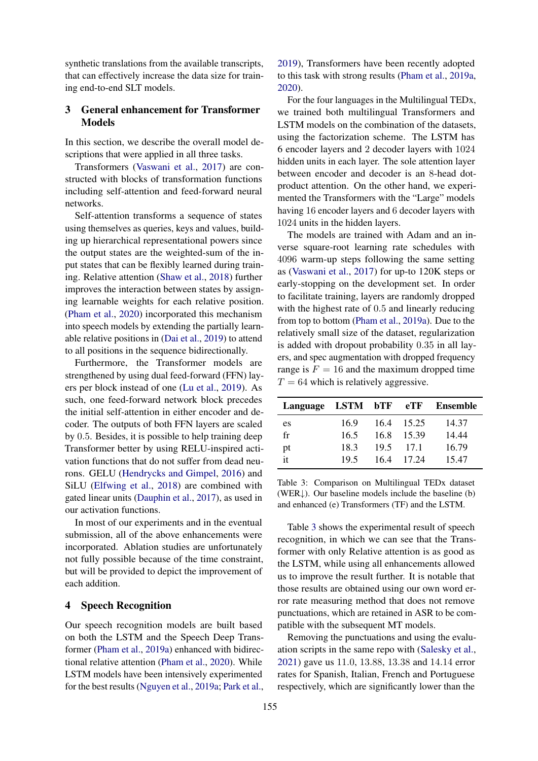synthetic translations from the available transcripts, that can effectively increase the data size for training end-to-end SLT models.

# 3 General enhancement for Transformer Models

In this section, we describe the overall model descriptions that were applied in all three tasks.

Transformers [\(Vaswani et al.,](#page-5-9) [2017\)](#page-5-9) are constructed with blocks of transformation functions including self-attention and feed-forward neural networks.

Self-attention transforms a sequence of states using themselves as queries, keys and values, building up hierarchical representational powers since the output states are the weighted-sum of the input states that can be flexibly learned during training. Relative attention [\(Shaw et al.,](#page-5-10) [2018\)](#page-5-10) further improves the interaction between states by assigning learnable weights for each relative position. [\(Pham et al.,](#page-5-11) [2020\)](#page-5-11) incorporated this mechanism into speech models by extending the partially learnable relative positions in [\(Dai et al.,](#page-4-3) [2019\)](#page-4-3) to attend to all positions in the sequence bidirectionally.

Furthermore, the Transformer models are strengthened by using dual feed-forward (FFN) layers per block instead of one [\(Lu et al.,](#page-5-12) [2019\)](#page-5-12). As such, one feed-forward network block precedes the initial self-attention in either encoder and decoder. The outputs of both FFN layers are scaled by 0.5. Besides, it is possible to help training deep Transformer better by using RELU-inspired activation functions that do not suffer from dead neurons. GELU [\(Hendrycks and Gimpel,](#page-4-4) [2016\)](#page-4-4) and SiLU [\(Elfwing et al.,](#page-4-5) [2018\)](#page-4-5) are combined with gated linear units [\(Dauphin et al.,](#page-4-6) [2017\)](#page-4-6), as used in our activation functions.

In most of our experiments and in the eventual submission, all of the above enhancements were incorporated. Ablation studies are unfortunately not fully possible because of the time constraint, but will be provided to depict the improvement of each addition.

## 4 Speech Recognition

Our speech recognition models are built based on both the LSTM and the Speech Deep Transformer [\(Pham et al.,](#page-5-1) [2019a\)](#page-5-1) enhanced with bidirectional relative attention [\(Pham et al.,](#page-5-11) [2020\)](#page-5-11). While LSTM models have been intensively experimented for the best results [\(Nguyen et al.,](#page-5-13) [2019a;](#page-5-13) [Park et al.,](#page-5-14) [2019\)](#page-5-14), Transformers have been recently adopted to this task with strong results [\(Pham et al.,](#page-5-1) [2019a,](#page-5-1) [2020\)](#page-5-11).

For the four languages in the Multilingual TEDx, we trained both multilingual Transformers and LSTM models on the combination of the datasets, using the factorization scheme. The LSTM has 6 encoder layers and 2 decoder layers with 1024 hidden units in each layer. The sole attention layer between encoder and decoder is an 8-head dotproduct attention. On the other hand, we experimented the Transformers with the "Large" models having 16 encoder layers and 6 decoder layers with 1024 units in the hidden layers.

The models are trained with Adam and an inverse square-root learning rate schedules with 4096 warm-up steps following the same setting as [\(Vaswani et al.,](#page-5-9) [2017\)](#page-5-9) for up-to 120K steps or early-stopping on the development set. In order to facilitate training, layers are randomly dropped with the highest rate of  $0.5$  and linearly reducing from top to bottom [\(Pham et al.,](#page-5-1) [2019a\)](#page-5-1). Due to the relatively small size of the dataset, regularization is added with dropout probability 0.35 in all layers, and spec augmentation with dropped frequency range is  $F = 16$  and the maximum dropped time  $T = 64$  which is relatively aggressive.

<span id="page-1-0"></span>

| Language LSTM bTF eTF |      |      |            | Ensemble |
|-----------------------|------|------|------------|----------|
| es                    | 16.9 |      | 16.4 15.25 | 14.37    |
| fr                    | 16.5 | 16.8 | 15.39      | 14.44    |
| pt                    | 18.3 | 19.5 | 171        | 16.79    |
| it                    | 19.5 | 164  | 17.24      | 15.47    |

Table 3: Comparison on Multilingual TEDx dataset (WER↓). Our baseline models include the baseline (b) and enhanced (e) Transformers (TF) and the LSTM.

Table [3](#page-1-0) shows the experimental result of speech recognition, in which we can see that the Transformer with only Relative attention is as good as the LSTM, while using all enhancements allowed us to improve the result further. It is notable that those results are obtained using our own word error rate measuring method that does not remove punctuations, which are retained in ASR to be compatible with the subsequent MT models.

Removing the punctuations and using the evaluation scripts in the same repo with [\(Salesky et al.,](#page-5-6) [2021\)](#page-5-6) gave us 11.0, 13.88, 13.38 and 14.14 error rates for Spanish, Italian, French and Portuguese respectively, which are significantly lower than the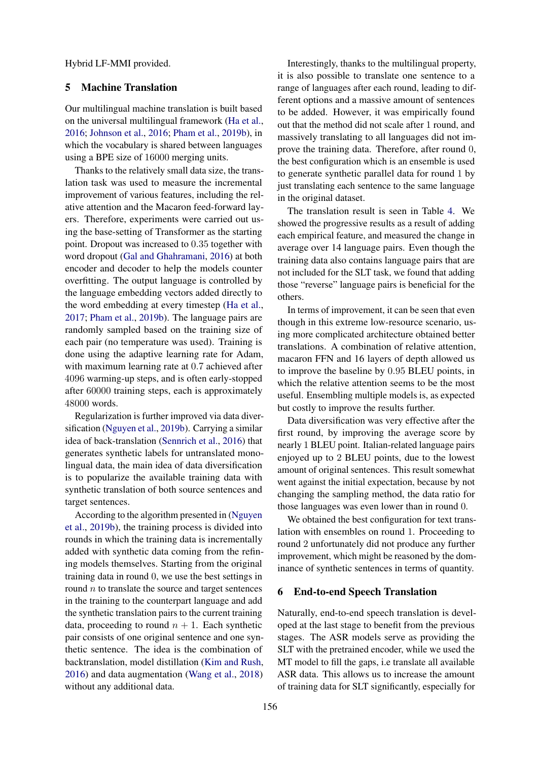Hybrid LF-MMI provided.

## 5 Machine Translation

Our multilingual machine translation is built based on the universal multilingual framework [\(Ha et al.,](#page-4-1) [2016;](#page-4-1) [Johnson et al.,](#page-5-3) [2016;](#page-5-3) [Pham et al.,](#page-5-15) [2019b\)](#page-5-15), in which the vocabulary is shared between languages using a BPE size of 16000 merging units.

Thanks to the relatively small data size, the translation task was used to measure the incremental improvement of various features, including the relative attention and the Macaron feed-forward layers. Therefore, experiments were carried out using the base-setting of Transformer as the starting point. Dropout was increased to 0.35 together with word dropout [\(Gal and Ghahramani,](#page-4-7) [2016\)](#page-4-7) at both encoder and decoder to help the models counter overfitting. The output language is controlled by the language embedding vectors added directly to the word embedding at every timestep [\(Ha et al.,](#page-4-8) [2017;](#page-4-8) [Pham et al.,](#page-5-15) [2019b\)](#page-5-15). The language pairs are randomly sampled based on the training size of each pair (no temperature was used). Training is done using the adaptive learning rate for Adam, with maximum learning rate at 0.7 achieved after 4096 warming-up steps, and is often early-stopped after 60000 training steps, each is approximately 48000 words.

Regularization is further improved via data diversification [\(Nguyen et al.,](#page-5-16) [2019b\)](#page-5-16). Carrying a similar idea of back-translation [\(Sennrich et al.,](#page-5-17) [2016\)](#page-5-17) that generates synthetic labels for untranslated monolingual data, the main idea of data diversification is to popularize the available training data with synthetic translation of both source sentences and target sentences.

According to the algorithm presented in [\(Nguyen](#page-5-16) [et al.,](#page-5-16) [2019b\)](#page-5-16), the training process is divided into rounds in which the training data is incrementally added with synthetic data coming from the refining models themselves. Starting from the original training data in round 0, we use the best settings in round  $n$  to translate the source and target sentences in the training to the counterpart language and add the synthetic translation pairs to the current training data, proceeding to round  $n + 1$ . Each synthetic pair consists of one original sentence and one synthetic sentence. The idea is the combination of backtranslation, model distillation [\(Kim and Rush,](#page-5-18) [2016\)](#page-5-18) and data augmentation [\(Wang et al.,](#page-5-19) [2018\)](#page-5-19) without any additional data.

Interestingly, thanks to the multilingual property, it is also possible to translate one sentence to a range of languages after each round, leading to different options and a massive amount of sentences to be added. However, it was empirically found out that the method did not scale after 1 round, and massively translating to all languages did not improve the training data. Therefore, after round 0, the best configuration which is an ensemble is used to generate synthetic parallel data for round 1 by just translating each sentence to the same language in the original dataset.

The translation result is seen in Table [4.](#page-3-0) We showed the progressive results as a result of adding each empirical feature, and measured the change in average over 14 language pairs. Even though the training data also contains language pairs that are not included for the SLT task, we found that adding those "reverse" language pairs is beneficial for the others.

In terms of improvement, it can be seen that even though in this extreme low-resource scenario, using more complicated architecture obtained better translations. A combination of relative attention, macaron FFN and 16 layers of depth allowed us to improve the baseline by 0.95 BLEU points, in which the relative attention seems to be the most useful. Ensembling multiple models is, as expected but costly to improve the results further.

Data diversification was very effective after the first round, by improving the average score by nearly 1 BLEU point. Italian-related language pairs enjoyed up to 2 BLEU points, due to the lowest amount of original sentences. This result somewhat went against the initial expectation, because by not changing the sampling method, the data ratio for those languages was even lower than in round 0.

We obtained the best configuration for text translation with ensembles on round 1. Proceeding to round 2 unfortunately did not produce any further improvement, which might be reasoned by the dominance of synthetic sentences in terms of quantity.

#### 6 End-to-end Speech Translation

Naturally, end-to-end speech translation is developed at the last stage to benefit from the previous stages. The ASR models serve as providing the SLT with the pretrained encoder, while we used the MT model to fill the gaps, i.e translate all available ASR data. This allows us to increase the amount of training data for SLT significantly, especially for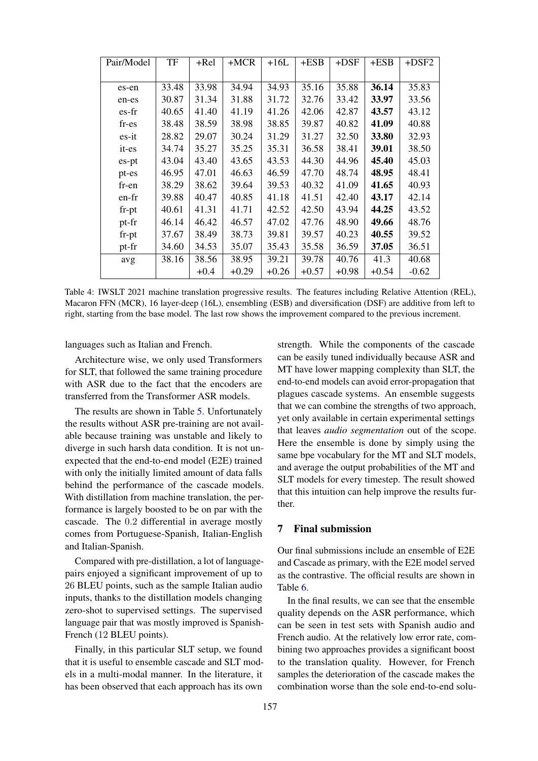<span id="page-3-0"></span>

| Pair/Model | TF    | +Rel   | $+MCR$  | $+16L$  | $+ESB$  | $+$ DSF | $+ESB$  | $+$ DSF2 |
|------------|-------|--------|---------|---------|---------|---------|---------|----------|
|            |       |        |         |         |         |         |         |          |
| es-en      | 33.48 | 33.98  | 34.94   | 34.93   | 35.16   | 35.88   | 36.14   | 35.83    |
| en-es      | 30.87 | 31.34  | 31.88   | 31.72   | 32.76   | 33.42   | 33.97   | 33.56    |
| es-fr      | 40.65 | 41.40  | 41.19   | 41.26   | 42.06   | 42.87   | 43.57   | 43.12    |
| fr-es      | 38.48 | 38.59  | 38.98   | 38.85   | 39.87   | 40.82   | 41.09   | 40.88    |
| $es-it$    | 28.82 | 29.07  | 30.24   | 31.29   | 31.27   | 32.50   | 33.80   | 32.93    |
| it-es      | 34.74 | 35.27  | 35.25   | 35.31   | 36.58   | 38.41   | 39.01   | 38.50    |
| es-pt      | 43.04 | 43.40  | 43.65   | 43.53   | 44.30   | 44.96   | 45.40   | 45.03    |
| pt-es      | 46.95 | 47.01  | 46.63   | 46.59   | 47.70   | 48.74   | 48.95   | 48.41    |
| fr-en      | 38.29 | 38.62  | 39.64   | 39.53   | 40.32   | 41.09   | 41.65   | 40.93    |
| en-fr      | 39.88 | 40.47  | 40.85   | 41.18   | 41.51   | 42.40   | 43.17   | 42.14    |
| fr-pt      | 40.61 | 41.31  | 41.71   | 42.52   | 42.50   | 43.94   | 44.25   | 43.52    |
| pt-fr      | 46.14 | 46.42  | 46.57   | 47.02   | 47.76   | 48.90   | 49.66   | 48.76    |
| fr-pt      | 37.67 | 38.49  | 38.73   | 39.81   | 39.57   | 40.23   | 40.55   | 39.52    |
| pt-fr      | 34.60 | 34.53  | 35.07   | 35.43   | 35.58   | 36.59   | 37.05   | 36.51    |
| avg        | 38.16 | 38.56  | 38.95   | 39.21   | 39.78   | 40.76   | 41.3    | 40.68    |
|            |       | $+0.4$ | $+0.29$ | $+0.26$ | $+0.57$ | $+0.98$ | $+0.54$ | $-0.62$  |

Table 4: IWSLT 2021 machine translation progressive results. The features including Relative Attention (REL), Macaron FFN (MCR), 16 layer-deep (16L), ensembling (ESB) and diversification (DSF) are additive from left to right, starting from the base model. The last row shows the improvement compared to the previous increment.

languages such as Italian and French.

Architecture wise, we only used Transformers for SLT, that followed the same training procedure with ASR due to the fact that the encoders are transferred from the Transformer ASR models.

The results are shown in Table 5. Unfortunately the results without ASR pre-training are not available because training was unstable and likely to diverge in such harsh data condition. It is not unexpected that the end-to-end model (E2E) trained with only the initially limited amount of data falls behind the performance of the cascade models. With distillation from machine translation, the performance is largely boosted to be on par with the cascade. The 0.2 differential in average mostly comes from Portuguese-Spanish, Italian-English and Italian-Spanish.

Compared with pre-distillation, a lot of languagepairs enjoyed a significant improvement of up to 26 BLEU points, such as the sample Italian audio inputs, thanks to the distillation models changing zero-shot to supervised settings. The supervised language pair that was mostly improved is Spanish-French (12 BLEU points).

Finally, in this particular SLT setup, we found that it is useful to ensemble cascade and SLT models in a multi-modal manner. In the literature, it has been observed that each approach has its own

strength. While the components of the cascade can be easily tuned individually because ASR and MT have lower mapping complexity than SLT, the end-to-end models can avoid error-propagation that plagues cascade systems. An ensemble suggests that we can combine the strengths of two approach, yet only available in certain experimental settings that leaves *audio segmentation* out of the scope. Here the ensemble is done by simply using the same bpe vocabulary for the MT and SLT models, and average the output probabilities of the MT and SLT models for every timestep. The result showed that this intuition can help improve the results further.

#### $\overline{7}$ **Final submission**

Our final submissions include an ensemble of E2E and Cascade as primary, with the E2E model served as the contrastive. The official results are shown in Table 6.

In the final results, we can see that the ensemble quality depends on the ASR performance, which can be seen in test sets with Spanish audio and French audio. At the relatively low error rate, combining two approaches provides a significant boost to the translation quality. However, for French samples the deterioration of the cascade makes the combination worse than the sole end-to-end solu-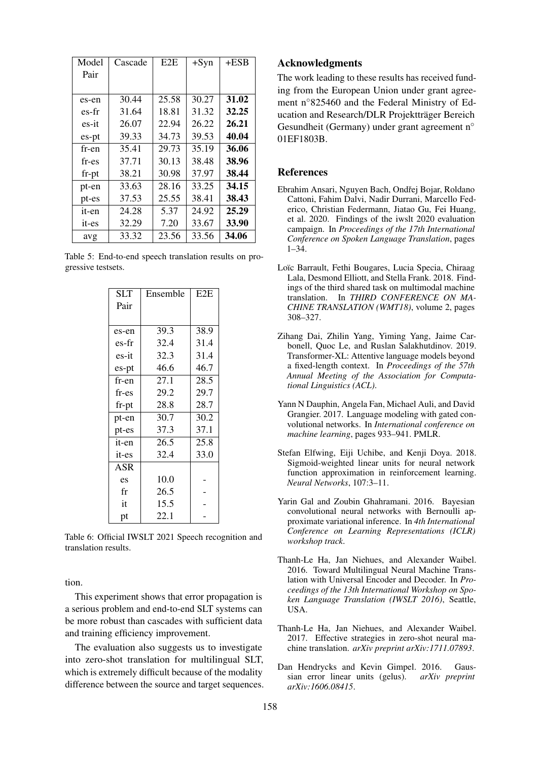<span id="page-4-9"></span>

| Model    | Cascade | E2E   | $+Syn$ | $+ESB$ |
|----------|---------|-------|--------|--------|
| Pair     |         |       |        |        |
|          |         |       |        |        |
| es-en    | 30.44   | 25.58 | 30.27  | 31.02  |
| es-fr    | 31.64   | 18.81 | 31.32  | 32.25  |
| es-it    | 26.07   | 22.94 | 26.22  | 26.21  |
| es-pt    | 39.33   | 34.73 | 39.53  | 40.04  |
| fr-en    | 35.41   | 29.73 | 35.19  | 36.06  |
| fr-es    | 37.71   | 30.13 | 38.48  | 38.96  |
| $fr$ -pt | 38.21   | 30.98 | 37.97  | 38.44  |
| pt-en    | 33.63   | 28.16 | 33.25  | 34.15  |
| pt-es    | 37.53   | 25.55 | 38.41  | 38.43  |
| it-en    | 24.28   | 5.37  | 24.92  | 25.29  |
| it-es    | 32.29   | 7.20  | 33.67  | 33.90  |
| avg      | 33.32   | 23.56 | 33.56  | 34.06  |

<span id="page-4-10"></span>Table 5: End-to-end speech translation results on progressive testsets.

| SLT        | Ensemble | E2E  |
|------------|----------|------|
| Pair       |          |      |
|            |          |      |
| es-en      | 39.3     | 38.9 |
| es-fr      | 32.4     | 31.4 |
| es-it      | 32.3     | 31.4 |
| es-pt      | 46.6     | 46.7 |
| fr-en      | 27.1     | 28.5 |
| $fr-es$    | 29.2     | 29.7 |
| $fr$ -pt   | 28.8     | 28.7 |
| pt-en      | 30.7     | 30.2 |
| pt-es      | 37.3     | 37.1 |
| it-en      | 26.5     | 25.8 |
| it-es      | 32.4     | 33.0 |
| <b>ASR</b> |          |      |
| es         | 10.0     |      |
| fr         | 26.5     |      |
| it         | 15.5     |      |
| pt         | 22.1     |      |

Table 6: Official IWSLT 2021 Speech recognition and translation results.

tion.

This experiment shows that error propagation is a serious problem and end-to-end SLT systems can be more robust than cascades with sufficient data and training efficiency improvement.

The evaluation also suggests us to investigate into zero-shot translation for multilingual SLT. which is extremely difficult because of the modality difference between the source and target sequences.

#### **Acknowledgments**

The work leading to these results has received funding from the European Union under grant agreement n°825460 and the Federal Ministry of Education and Research/DLR Projektträger Bereich Gesundheit (Germany) under grant agreement  $n^{\circ}$ 01EF1803B.

# **References**

- <span id="page-4-2"></span>Ebrahim Ansari, Nguyen Bach, Ondřej Bojar, Roldano Cattoni, Fahim Dalvi, Nadir Durrani, Marcello Federico, Christian Federmann, Jiatao Gu, Fei Huang, et al. 2020. Findings of the iwslt 2020 evaluation campaign. In Proceedings of the 17th International Conference on Spoken Language Translation, pages  $1 - 34.$
- <span id="page-4-0"></span>Loïc Barrault, Fethi Bougares, Lucia Specia, Chiraag Lala, Desmond Elliott, and Stella Frank. 2018. Findings of the third shared task on multimodal machine translation. In THIRD CONFERENCE ON MA-CHINE TRANSLATION (WMT18), volume 2, pages 308-327.
- <span id="page-4-3"></span>Zihang Dai, Zhilin Yang, Yiming Yang, Jaime Carbonell, Quoc Le, and Ruslan Salakhutdinov. 2019. Transformer-XL: Attentive language models beyond a fixed-length context. In Proceedings of the 57th Annual Meeting of the Association for Computational Linguistics (ACL).
- <span id="page-4-6"></span>Yann N Dauphin, Angela Fan, Michael Auli, and David Grangier. 2017. Language modeling with gated convolutional networks. In *International conference on* machine learning, pages 933-941. PMLR.
- <span id="page-4-5"></span>Stefan Elfwing, Eiji Uchibe, and Kenji Doya. 2018. Sigmoid-weighted linear units for neural network function approximation in reinforcement learning. Neural Networks, 107:3-11.
- <span id="page-4-7"></span>Yarin Gal and Zoubin Ghahramani, 2016. Bavesian convolutional neural networks with Bernoulli approximate variational inference. In 4th International Conference on Learning Representations (ICLR) workshop track.
- <span id="page-4-1"></span>Thanh-Le Ha, Jan Niehues, and Alexander Waibel. 2016. Toward Multilingual Neural Machine Translation with Universal Encoder and Decoder. In Proceedings of the 13th International Workshop on Spoken Language Translation (IWSLT 2016), Seattle, USA.
- <span id="page-4-8"></span>Thanh-Le Ha, Jan Niehues, and Alexander Waibel. 2017. Effective strategies in zero-shot neural machine translation. *arXiv preprint arXiv*: 1711.07893.
- <span id="page-4-4"></span>Dan Hendrycks and Kevin Gimpel. 2016. Gaussian error linear units (gelus). arXiv preprint arXiv:1606.08415.